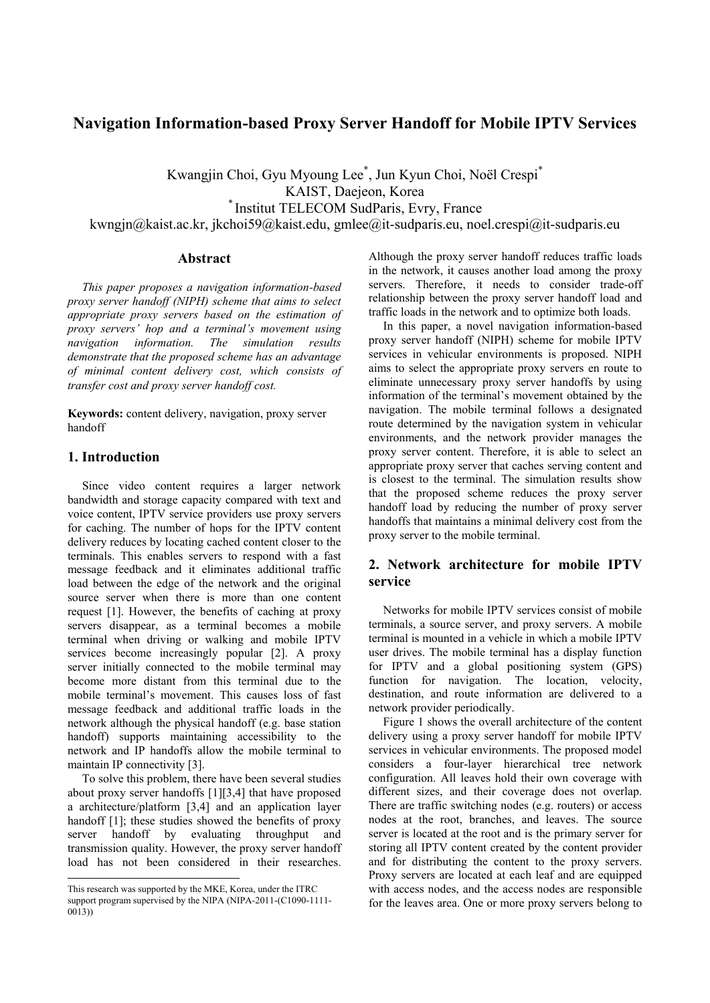# **Navigation Information-based Proxy Server Handoff for Mobile IPTV Services**

Kwangjin Choi, Gyu Myoung Lee\* , Jun Kyun Choi, Noël Crespi\* KAIST, Daejeon, Korea *\** Institut TELECOM SudParis, Evry, France kwngjn@kaist.ac.kr, jkchoi59@kaist.edu, gmlee@it-sudparis.eu, noel.crespi@it-sudparis.eu

### **Abstract**

*This paper proposes a navigation information-based proxy server handoff (NIPH) scheme that aims to select appropriate proxy servers based on the estimation of proxy servers' hop and a terminal's movement using navigation information. The simulation results demonstrate that the proposed scheme has an advantage of minimal content delivery cost, which consists of transfer cost and proxy server handoff cost.*

**Keywords:** content delivery, navigation, proxy server handoff

## **1. Introduction**

 $\overline{a}$ 

Since video content requires a larger network bandwidth and storage capacity compared with text and voice content, IPTV service providers use proxy servers for caching. The number of hops for the IPTV content delivery reduces by locating cached content closer to the terminals. This enables servers to respond with a fast message feedback and it eliminates additional traffic load between the edge of the network and the original source server when there is more than one content request [1]. However, the benefits of caching at proxy servers disappear, as a terminal becomes a mobile terminal when driving or walking and mobile IPTV services become increasingly popular [2]. A proxy server initially connected to the mobile terminal may become more distant from this terminal due to the mobile terminal's movement. This causes loss of fast message feedback and additional traffic loads in the network although the physical handoff (e.g. base station handoff) supports maintaining accessibility to the network and IP handoffs allow the mobile terminal to maintain IP connectivity [3].

To solve this problem, there have been several studies about proxy server handoffs [1][3,4] that have proposed a architecture/platform [3,4] and an application layer handoff [1]; these studies showed the benefits of proxy server handoff by evaluating throughput and transmission quality. However, the proxy server handoff load has not been considered in their researches.

Although the proxy server handoff reduces traffic loads in the network, it causes another load among the proxy servers. Therefore, it needs to consider trade-off relationship between the proxy server handoff load and traffic loads in the network and to optimize both loads.

In this paper, a novel navigation information-based proxy server handoff (NIPH) scheme for mobile IPTV services in vehicular environments is proposed. NIPH aims to select the appropriate proxy servers en route to eliminate unnecessary proxy server handoffs by using information of the terminal's movement obtained by the navigation. The mobile terminal follows a designated route determined by the navigation system in vehicular environments, and the network provider manages the proxy server content. Therefore, it is able to select an appropriate proxy server that caches serving content and is closest to the terminal. The simulation results show that the proposed scheme reduces the proxy server handoff load by reducing the number of proxy server handoffs that maintains a minimal delivery cost from the proxy server to the mobile terminal.

## **2. Network architecture for mobile IPTV service**

Networks for mobile IPTV services consist of mobile terminals, a source server, and proxy servers. A mobile terminal is mounted in a vehicle in which a mobile IPTV user drives. The mobile terminal has a display function for IPTV and a global positioning system (GPS) function for navigation. The location, velocity, destination, and route information are delivered to a network provider periodically.

Figure 1 shows the overall architecture of the content delivery using a proxy server handoff for mobile IPTV services in vehicular environments. The proposed model considers a four-layer hierarchical tree network configuration. All leaves hold their own coverage with different sizes, and their coverage does not overlap. There are traffic switching nodes (e.g. routers) or access nodes at the root, branches, and leaves. The source server is located at the root and is the primary server for storing all IPTV content created by the content provider and for distributing the content to the proxy servers. Proxy servers are located at each leaf and are equipped with access nodes, and the access nodes are responsible for the leaves area. One or more proxy servers belong to

This research was supported by the MKE, Korea, under the ITRC support program supervised by the NIPA (NIPA-2011-(C1090-1111- 0013))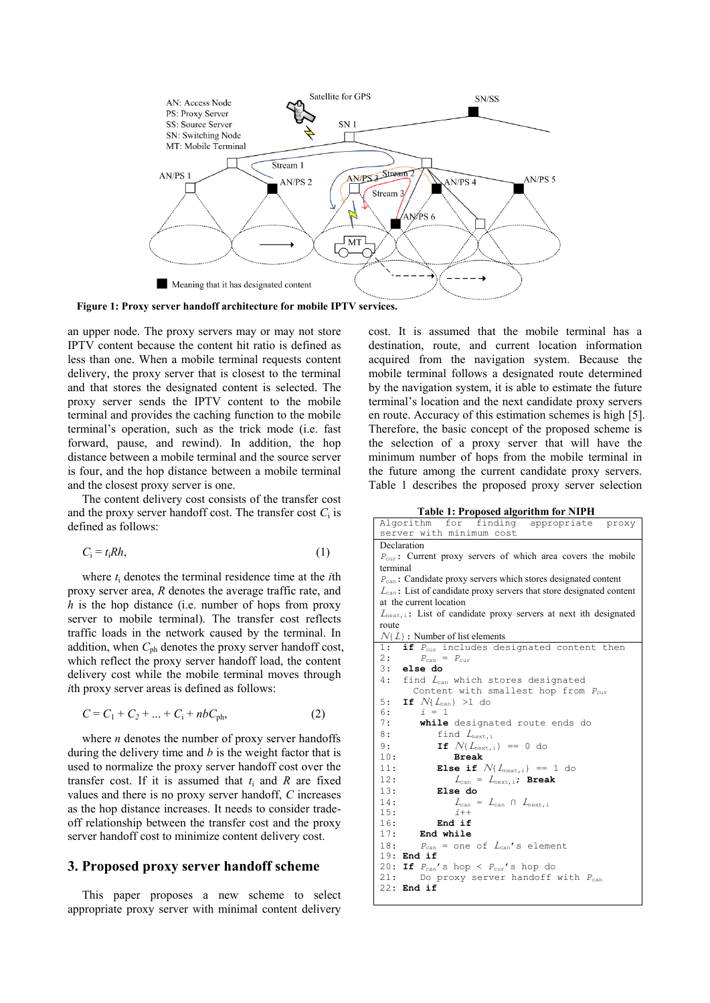

**Figure 1: Proxy server handoff architecture for mobile IPTV services.**

an upper node. The proxy servers may or may not store IPTV content because the content hit ratio is defined as less than one. When a mobile terminal requests content delivery, the proxy server that is closest to the terminal and that stores the designated content is selected. The proxy server sends the IPTV content to the mobile terminal and provides the caching function to the mobile terminal's operation, such as the trick mode (i.e. fast forward, pause, and rewind). In addition, the hop distance between a mobile terminal and the source server is four, and the hop distance between a mobile terminal and the closest proxy server is one.

The content delivery cost consists of the transfer cost and the proxy server handoff cost. The transfer cost  $C_i$  is defined as follows:

$$
C_i = t_i R h,\tag{1}
$$

where *t*<sup>i</sup> denotes the terminal residence time at the *i*th proxy server area, *R* denotes the average traffic rate, and *h* is the hop distance (i.e. number of hops from proxy server to mobile terminal). The transfer cost reflects traffic loads in the network caused by the terminal. In addition, when *C*ph denotes the proxy server handoff cost, which reflect the proxy server handoff load, the content delivery cost while the mobile terminal moves through *i*th proxy server areas is defined as follows:

$$
C = C_1 + C_2 + \dots + C_i + nbC_{ph},
$$
 (2)

where *n* denotes the number of proxy server handoffs during the delivery time and *b* is the weight factor that is used to normalize the proxy server handoff cost over the transfer cost. If it is assumed that  $t_i$  and  $R$  are fixed values and there is no proxy server handoff, *C* increases as the hop distance increases. It needs to consider tradeoff relationship between the transfer cost and the proxy server handoff cost to minimize content delivery cost.

#### **3. Proposed proxy server handoff scheme**

This paper proposes a new scheme to select appropriate proxy server with minimal content delivery cost. It is assumed that the mobile terminal has a destination, route, and current location information acquired from the navigation system. Because the mobile terminal follows a designated route determined by the navigation system, it is able to estimate the future terminal's location and the next candidate proxy servers en route. Accuracy of this estimation schemes is high [5]. Therefore, the basic concept of the proposed scheme is the selection of a proxy server that will have the minimum number of hops from the mobile terminal in the future among the current candidate proxy servers. Table 1 describes the proposed proxy server selection

**Table 1: Proposed algorithm for NIPH**

| Algorithm for finding appropriate proxy                                          |
|----------------------------------------------------------------------------------|
| server with minimum cost                                                         |
| Declaration                                                                      |
| $P_{\text{cur}}$ : Current proxy servers of which area covers the mobile         |
| terminal                                                                         |
| $P_{\text{can}}$ : Candidate proxy servers which stores designated content       |
| $L_{\text{can}}$ : List of candidate proxy servers that store designated content |
| at the current location                                                          |
| $L_{\text{next}, i}$ : List of candidate proxy servers at next ith designated    |
| route                                                                            |
| $N\{L\}$ : Number of list elements                                               |
| if P <sub>cur</sub> includes designated content then<br>1:                       |
| 2:<br>$P_{\text{can}} = P_{\text{cur}}$                                          |
| 3: else do                                                                       |
| 4: find $L_{can}$ which stores designated                                        |
| Content with smallest hop from $P_{cur}$                                         |
| 5: If $N\{L_{\text{can}}\} > 1$ do                                               |
| $i = 1$<br>6:                                                                    |
| 7:<br>while designated route ends do                                             |
| 8 :<br>find $L_{\text{next},i}$                                                  |
| 9:<br><b>If</b> $N\{L_{\text{next},i}\}$ == 0 do                                 |
| 10:<br><b>Break</b>                                                              |
| 11:<br><b>Else if</b> $N\{L_{next,i}\} == 1$ do                                  |
| 12:<br>$L_{\text{can}} = L_{\text{next},i}$ ; Break                              |
| 13:<br>Else do                                                                   |
| 14:<br>$L_{\text{can}} = L_{\text{can}} \cap L_{\text{next},i}$                  |
| 15:<br>$\overline{i}$ + +                                                        |
| End if<br>16:                                                                    |
| 17:<br>End while                                                                 |
| $P_{\text{can}}$ = one of $L_{\text{can}}$ 's element<br>18:                     |
| $19:$ End if                                                                     |
| 20: If $P_{can}$ 's hop < $P_{cur}$ 's hop do                                    |
| 21:<br>Do proxy server handoff with $P_{can}$                                    |
| $22:$ End if                                                                     |
|                                                                                  |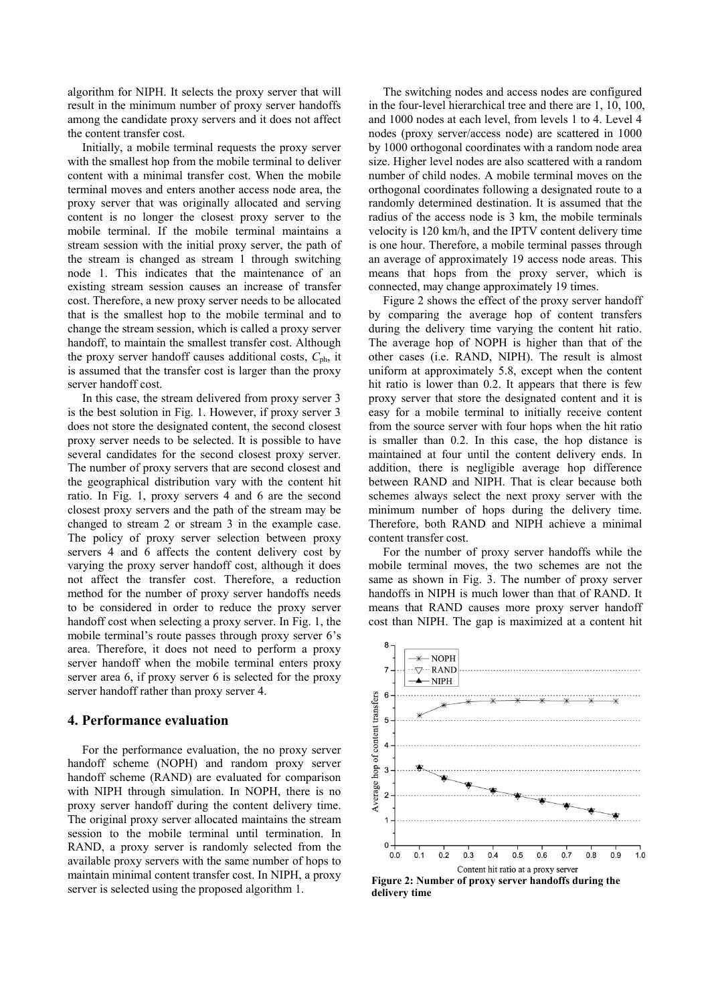algorithm for NIPH. It selects the proxy server that will result in the minimum number of proxy server handoffs among the candidate proxy servers and it does not affect the content transfer cost.

Initially, a mobile terminal requests the proxy server with the smallest hop from the mobile terminal to deliver content with a minimal transfer cost. When the mobile terminal moves and enters another access node area, the proxy server that was originally allocated and serving content is no longer the closest proxy server to the mobile terminal. If the mobile terminal maintains a stream session with the initial proxy server, the path of the stream is changed as stream 1 through switching node 1. This indicates that the maintenance of an existing stream session causes an increase of transfer cost. Therefore, a new proxy server needs to be allocated that is the smallest hop to the mobile terminal and to change the stream session, which is called a proxy server handoff, to maintain the smallest transfer cost. Although the proxy server handoff causes additional costs,  $C_{\text{ph}}$ , it is assumed that the transfer cost is larger than the proxy server handoff cost.

In this case, the stream delivered from proxy server 3 is the best solution in Fig. 1. However, if proxy server 3 does not store the designated content, the second closest proxy server needs to be selected. It is possible to have several candidates for the second closest proxy server. The number of proxy servers that are second closest and the geographical distribution vary with the content hit ratio. In Fig. 1, proxy servers 4 and 6 are the second closest proxy servers and the path of the stream may be changed to stream 2 or stream 3 in the example case. The policy of proxy server selection between proxy servers 4 and 6 affects the content delivery cost by varying the proxy server handoff cost, although it does not affect the transfer cost. Therefore, a reduction method for the number of proxy server handoffs needs to be considered in order to reduce the proxy server handoff cost when selecting a proxy server. In Fig. 1, the mobile terminal's route passes through proxy server 6's area. Therefore, it does not need to perform a proxy server handoff when the mobile terminal enters proxy server area 6, if proxy server 6 is selected for the proxy server handoff rather than proxy server 4.

#### **4. Performance evaluation**

For the performance evaluation, the no proxy server handoff scheme (NOPH) and random proxy server handoff scheme (RAND) are evaluated for comparison with NIPH through simulation. In NOPH, there is no proxy server handoff during the content delivery time. The original proxy server allocated maintains the stream session to the mobile terminal until termination. In RAND, a proxy server is randomly selected from the available proxy servers with the same number of hops to maintain minimal content transfer cost. In NIPH, a proxy server is selected using the proposed algorithm 1.

The switching nodes and access nodes are configured in the four-level hierarchical tree and there are 1, 10, 100, and 1000 nodes at each level, from levels 1 to 4. Level 4 nodes (proxy server/access node) are scattered in 1000 by 1000 orthogonal coordinates with a random node area size. Higher level nodes are also scattered with a random number of child nodes. A mobile terminal moves on the orthogonal coordinates following a designated route to a randomly determined destination. It is assumed that the radius of the access node is 3 km, the mobile terminals velocity is 120 km/h, and the IPTV content delivery time is one hour. Therefore, a mobile terminal passes through an average of approximately 19 access node areas. This means that hops from the proxy server, which is connected, may change approximately 19 times.

Figure 2 shows the effect of the proxy server handoff by comparing the average hop of content transfers during the delivery time varying the content hit ratio. The average hop of NOPH is higher than that of the other cases (i.e. RAND, NIPH). The result is almost uniform at approximately 5.8, except when the content hit ratio is lower than 0.2. It appears that there is few proxy server that store the designated content and it is easy for a mobile terminal to initially receive content from the source server with four hops when the hit ratio is smaller than 0.2. In this case, the hop distance is maintained at four until the content delivery ends. In addition, there is negligible average hop difference between RAND and NIPH. That is clear because both schemes always select the next proxy server with the minimum number of hops during the delivery time. Therefore, both RAND and NIPH achieve a minimal content transfer cost.

For the number of proxy server handoffs while the mobile terminal moves, the two schemes are not the same as shown in Fig. 3. The number of proxy server handoffs in NIPH is much lower than that of RAND. It means that RAND causes more proxy server handoff cost than NIPH. The gap is maximized at a content hit



**Figure 2: Number of proxy server handoffs during the delivery time**